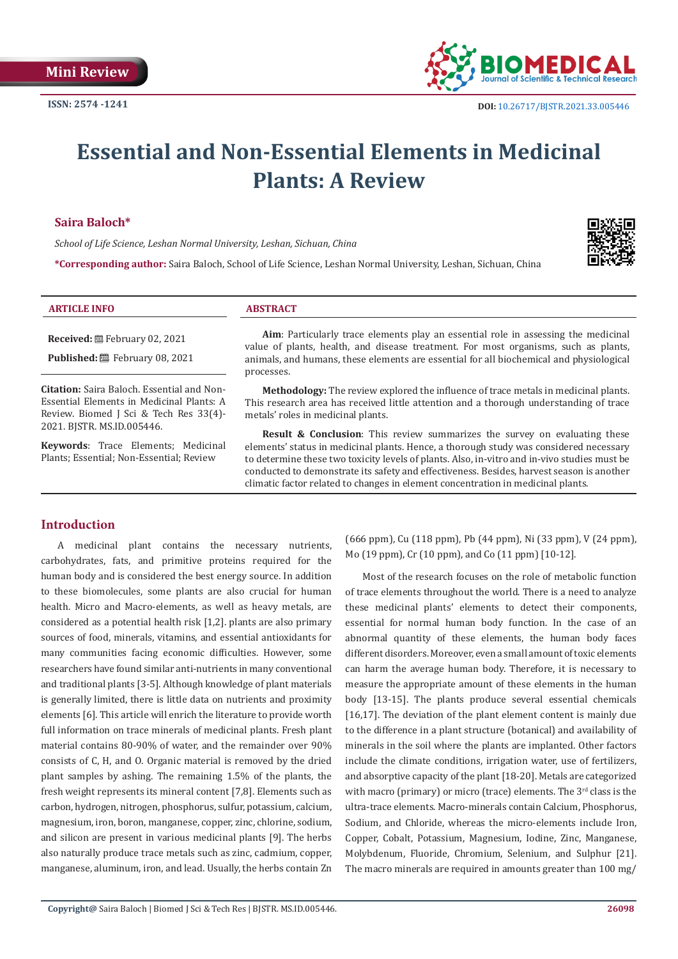

# **Essential and Non-Essential Elements in Medicinal Plants: A Review**

### **Saira Baloch\***

*School of Life Science, Leshan Normal University, Leshan, Sichuan, China*

**\*Corresponding author:** Saira Baloch, School of Life Science, Leshan Normal University, Leshan, Sichuan, China



**Received:** February 02, 2021

**Published:**  $\blacksquare$  February 08, 2021

**Citation:** Saira Baloch. Essential and Non-Essential Elements in Medicinal Plants: A Review. Biomed J Sci & Tech Res 33(4)- 2021. BJSTR. MS.ID.005446.

**Keywords**: Trace Elements; Medicinal Plants; Essential; Non-Essential; Review

**Aim**: Particularly trace elements play an essential role in assessing the medicinal value of plants, health, and disease treatment. For most organisms, such as plants, animals, and humans, these elements are essential for all biochemical and physiological processes.

**Methodology:** The review explored the influence of trace metals in medicinal plants. This research area has received little attention and a thorough understanding of trace metals' roles in medicinal plants.

**Result & Conclusion**: This review summarizes the survey on evaluating these elements' status in medicinal plants. Hence, a thorough study was considered necessary to determine these two toxicity levels of plants. Also, in-vitro and in-vivo studies must be conducted to demonstrate its safety and effectiveness. Besides, harvest season is another climatic factor related to changes in element concentration in medicinal plants.

# **Introduction**

A medicinal plant contains the necessary nutrients, carbohydrates, fats, and primitive proteins required for the human body and is considered the best energy source. In addition to these biomolecules, some plants are also crucial for human health. Micro and Macro-elements, as well as heavy metals, are considered as a potential health risk [1,2]. plants are also primary sources of food, minerals, vitamins, and essential antioxidants for many communities facing economic difficulties. However, some researchers have found similar anti-nutrients in many conventional and traditional plants [3-5]. Although knowledge of plant materials is generally limited, there is little data on nutrients and proximity elements [6]. This article will enrich the literature to provide worth full information on trace minerals of medicinal plants. Fresh plant material contains 80-90% of water, and the remainder over 90% consists of C, H, and O. Organic material is removed by the dried plant samples by ashing. The remaining 1.5% of the plants, the fresh weight represents its mineral content [7,8]. Elements such as carbon, hydrogen, nitrogen, phosphorus, sulfur, potassium, calcium, magnesium, iron, boron, manganese, copper, zinc, chlorine, sodium, and silicon are present in various medicinal plants [9]. The herbs also naturally produce trace metals such as zinc, cadmium, copper, manganese, aluminum, iron, and lead. Usually, the herbs contain Zn

(666 ppm), Cu (118 ppm), Pb (44 ppm), Ni (33 ppm), V (24 ppm), Mo (19 ppm), Cr (10 ppm), and Co (11 ppm) [10-12].

Most of the research focuses on the role of metabolic function of trace elements throughout the world. There is a need to analyze these medicinal plants' elements to detect their components, essential for normal human body function. In the case of an abnormal quantity of these elements, the human body faces different disorders. Moreover, even a small amount of toxic elements can harm the average human body. Therefore, it is necessary to measure the appropriate amount of these elements in the human body [13-15]. The plants produce several essential chemicals [16,17]. The deviation of the plant element content is mainly due to the difference in a plant structure (botanical) and availability of minerals in the soil where the plants are implanted. Other factors include the climate conditions, irrigation water, use of fertilizers, and absorptive capacity of the plant [18-20]. Metals are categorized with macro (primary) or micro (trace) elements. The  $3<sup>rd</sup>$  class is the ultra-trace elements. Macro-minerals contain Calcium, Phosphorus, Sodium, and Chloride, whereas the micro-elements include Iron, Copper, Cobalt, Potassium, Magnesium, Iodine, Zinc, Manganese, Molybdenum, Fluoride, Chromium, Selenium, and Sulphur [21]. The macro minerals are required in amounts greater than 100 mg/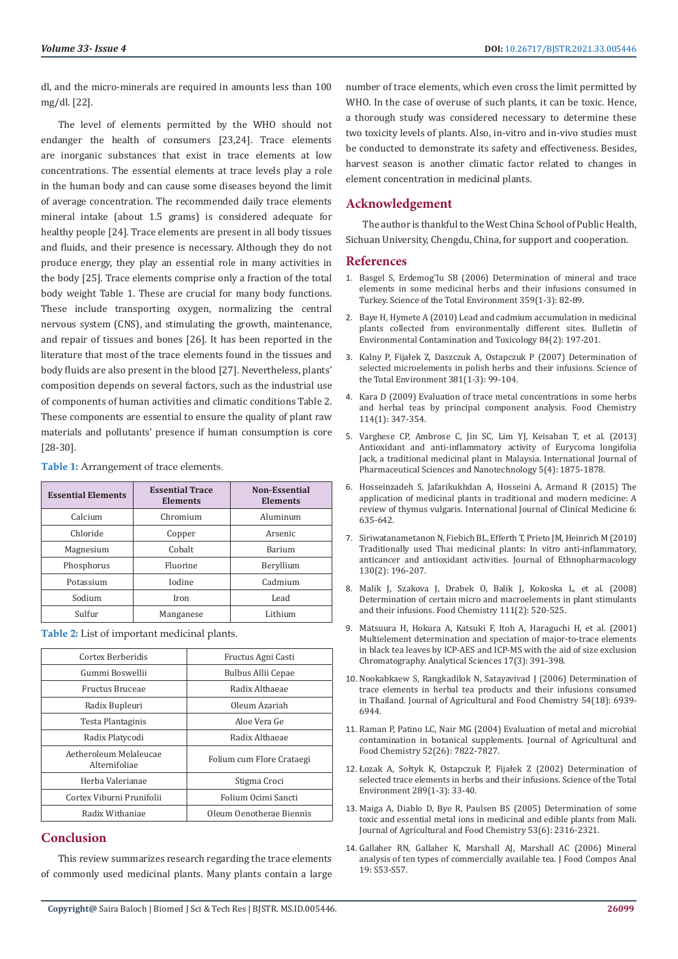dl, and the micro-minerals are required in amounts less than 100 mg/dl. [22].

The level of elements permitted by the WHO should not endanger the health of consumers [23,24]. Trace elements are inorganic substances that exist in trace elements at low concentrations. The essential elements at trace levels play a role in the human body and can cause some diseases beyond the limit of average concentration. The recommended daily trace elements mineral intake (about 1.5 grams) is considered adequate for healthy people [24]. Trace elements are present in all body tissues and fluids, and their presence is necessary. Although they do not produce energy, they play an essential role in many activities in the body [25]. Trace elements comprise only a fraction of the total body weight Table 1. These are crucial for many body functions. These include transporting oxygen, normalizing the central nervous system (CNS), and stimulating the growth, maintenance, and repair of tissues and bones [26]. It has been reported in the literature that most of the trace elements found in the tissues and body fluids are also present in the blood [27]. Nevertheless, plants' composition depends on several factors, such as the industrial use of components of human activities and climatic conditions Table 2. These components are essential to ensure the quality of plant raw materials and pollutants' presence if human consumption is core [28-30].

| <b>Essential Elements</b> | <b>Essential Trace</b><br><b>Elements</b> | <b>Non-Essential</b><br><b>Elements</b> |
|---------------------------|-------------------------------------------|-----------------------------------------|
| Calcium                   | Chromium                                  | Aluminum                                |
| Chloride                  | Copper                                    | Arsenic                                 |
| Magnesium                 | Cobalt                                    | <b>Barium</b>                           |
| Phosphorus                | Fluorine                                  | Beryllium                               |
| Potassium                 | Iodine                                    | Cadmium                                 |
| Sodium                    | Iron                                      | Lead                                    |
| Sulfur                    | Manganese                                 | Lithium                                 |

**Table 1:** Arrangement of trace elements.

**Table 2:** List of important medicinal plants.

| Cortex Berberidis                       | Fructus Agni Casti        |
|-----------------------------------------|---------------------------|
| Gummi Boswellii                         | Bulbus Allii Cepae        |
| Fructus Bruceae                         | Radix Althaeae            |
| Radix Bupleuri                          | Oleum Azariah             |
| Testa Plantaginis                       | Aloe Vera Ge              |
| Radix Platycodi                         | Radix Althaeae            |
| Aetheroleum Melaleucae<br>Alternifoliae | Folium cum Flore Crataegi |
| Herba Valerianae                        | Stigma Croci              |
| Cortex Viburni Prunifolii               | Folium Ocimi Sancti       |
| Radix Withaniae                         | Oleum Oenotherae Biennis  |

### **Conclusion**

This review summarizes research regarding the trace elements of commonly used medicinal plants. Many plants contain a large number of trace elements, which even cross the limit permitted by WHO. In the case of overuse of such plants, it can be toxic. Hence, a thorough study was considered necessary to determine these two toxicity levels of plants. Also, in-vitro and in-vivo studies must be conducted to demonstrate its safety and effectiveness. Besides, harvest season is another climatic factor related to changes in element concentration in medicinal plants.

## **Acknowledgement**

The author is thankful to the West China School of Public Health, Sichuan University, Chengdu, China, for support and cooperation.

#### **References**

- 1. Basgel S, Erdemog˘[lu SB \(2006\) Determination of mineral and trace](https://www.sciencedirect.com/science/article/abs/pii/S0048969705003244) [elements in some medicinal herbs and their infusions consumed in](https://www.sciencedirect.com/science/article/abs/pii/S0048969705003244) [Turkey. Science of the Total Environment 359\(1-3\): 82-89.](https://www.sciencedirect.com/science/article/abs/pii/S0048969705003244)
- 2. [Baye H, Hymete A \(2010\) Lead and cadmium accumulation in medicinal](https://pubmed.ncbi.nlm.nih.gov/19960181/) [plants collected from environmentally different sites. Bulletin of](https://pubmed.ncbi.nlm.nih.gov/19960181/) [Environmental Contamination and Toxicology 84\(2\): 197-201.](https://pubmed.ncbi.nlm.nih.gov/19960181/)
- 3. Kalny P, Fijał[ek Z, Daszczuk A, Ostapczuk P \(2007\) Determination of](https://www.sciencedirect.com/science/article/abs/pii/S0048969707003725) [selected microelements in polish herbs and their infusions. Science of](https://www.sciencedirect.com/science/article/abs/pii/S0048969707003725) [the Total Environment 381\(1-3\): 99-104.](https://www.sciencedirect.com/science/article/abs/pii/S0048969707003725)
- 4. [Kara D \(2009\) Evaluation of trace metal concentrations in some herbs](https://www.sciencedirect.com/science/article/abs/pii/S0308814608011473) [and herbal teas by principal component analysis. Food Chemistry](https://www.sciencedirect.com/science/article/abs/pii/S0308814608011473) [114\(1\): 347-354.](https://www.sciencedirect.com/science/article/abs/pii/S0308814608011473)
- 5. [Varghese CP, Ambrose C, Jin SC, Lim YJ, Keisaban T, et al. \(2013\)](https://www.researchgate.net/publication/303837064_Antioxidant_and_Anti-inflammatory_Activity_of_Eurycoma_Longifolia_Jack_A_Traditional_Medicinal_Plant_in_Malaysia) [Antioxidant and anti-inflammatory activity of Eurycoma longifolia](https://www.researchgate.net/publication/303837064_Antioxidant_and_Anti-inflammatory_Activity_of_Eurycoma_Longifolia_Jack_A_Traditional_Medicinal_Plant_in_Malaysia) [Jack, a traditional medicinal plant in Malaysia. International Journal of](https://www.researchgate.net/publication/303837064_Antioxidant_and_Anti-inflammatory_Activity_of_Eurycoma_Longifolia_Jack_A_Traditional_Medicinal_Plant_in_Malaysia) [Pharmaceutical Sciences and Nanotechnology 5\(4\): 1875-1878.](https://www.researchgate.net/publication/303837064_Antioxidant_and_Anti-inflammatory_Activity_of_Eurycoma_Longifolia_Jack_A_Traditional_Medicinal_Plant_in_Malaysia)
- 6. [Hosseinzadeh S, Jafarikukhdan A, Hosseini A, Armand R \(2015\) The](https://file.scirp.org/Html/6-2101145_59593.htm) [application of medicinal plants in traditional and modern medicine: A](https://file.scirp.org/Html/6-2101145_59593.htm) [review of thymus vulgaris. International Journal of Clinical Medicine 6:](https://file.scirp.org/Html/6-2101145_59593.htm) [635-642.](https://file.scirp.org/Html/6-2101145_59593.htm)
- 7. [Siriwatanametanon N, Fiebich BL, Efferth T, Prieto JM, Heinrich M \(2010\)](https://pubmed.ncbi.nlm.nih.gov/20435130/) [Traditionally used Thai medicinal plants: In vitro anti-inflammatory,](https://pubmed.ncbi.nlm.nih.gov/20435130/) [anticancer and antioxidant activities. Journal of Ethnopharmacology](https://pubmed.ncbi.nlm.nih.gov/20435130/) [130\(2\): 196-207.](https://pubmed.ncbi.nlm.nih.gov/20435130/)
- 8. [Malik J, Szakova J, Drabek O, Balik J, Kokoska L, et al. \(2008\)](https://www.sciencedirect.com/science/article/abs/pii/S0308814608004275) [Determination of certain micro and macroelements in plant stimulants](https://www.sciencedirect.com/science/article/abs/pii/S0308814608004275) [and their infusions. Food Chemistry 111\(2\): 520-525.](https://www.sciencedirect.com/science/article/abs/pii/S0308814608004275)
- 9. [Matsuura H, Hokura A, Katsuki F, Itoh A, Haraguchi H, et al. \(2001\)](https://pubmed.ncbi.nlm.nih.gov/11990615/) [Multielement determination and speciation of major-to-trace elements](https://pubmed.ncbi.nlm.nih.gov/11990615/) [in black tea leaves by ICP-AES and ICP-MS with the aid of size exclusion](https://pubmed.ncbi.nlm.nih.gov/11990615/) [Chromatography. Analytical Sciences 17\(3\): 391-398.](https://pubmed.ncbi.nlm.nih.gov/11990615/)
- 10. [Nookabkaew S, Rangkadilok N, Satayavivad J \(2006\) Determination of](https://pubmed.ncbi.nlm.nih.gov/16939361/) [trace elements in herbal tea products and their infusions consumed](https://pubmed.ncbi.nlm.nih.gov/16939361/) [in Thailand. Journal of Agricultural and Food Chemistry 54\(18\): 6939-](https://pubmed.ncbi.nlm.nih.gov/16939361/) [6944.](https://pubmed.ncbi.nlm.nih.gov/16939361/)
- 11. [Raman P, Patino LC, Nair MG \(2004\) Evaluation of metal and microbial](https://pubs.acs.org/doi/10.1021/jf049150%2B) [contamination in botanical supplements. Journal of Agricultural and](https://pubs.acs.org/doi/10.1021/jf049150%2B) [Food Chemistry 52\(26\): 7822-7827.](https://pubs.acs.org/doi/10.1021/jf049150%2B)
- 12. Łozak A, Sołtyk K, Ostapczuk P, Fijał[ek Z \(2002\) Determination of](https://pubmed.ncbi.nlm.nih.gov/12049404/) [selected trace elements in herbs and their infusions. Science of the Total](https://pubmed.ncbi.nlm.nih.gov/12049404/) [Environment 289\(1-3\): 33-40.](https://pubmed.ncbi.nlm.nih.gov/12049404/)
- 13. [Maiga A, Diablo D, Bye R, Paulsen BS \(2005\) Determination of some](https://pubs.acs.org/doi/10.1021/jf040436o) [toxic and essential metal ions in medicinal and edible plants from Mali.](https://pubs.acs.org/doi/10.1021/jf040436o) [Journal of Agricultural and Food Chemistry 53\(6\): 2316-2321.](https://pubs.acs.org/doi/10.1021/jf040436o)
- 14. [Gallaher RN, Gallaher K, Marshall AJ, Marshall AC \(2006\) Mineral](https://www.sciencedirect.com/science/article/abs/pii/S0889157506000214) [analysis of ten types of commercially available tea. J Food Compos Anal](https://www.sciencedirect.com/science/article/abs/pii/S0889157506000214) [19: S53-S57.](https://www.sciencedirect.com/science/article/abs/pii/S0889157506000214)